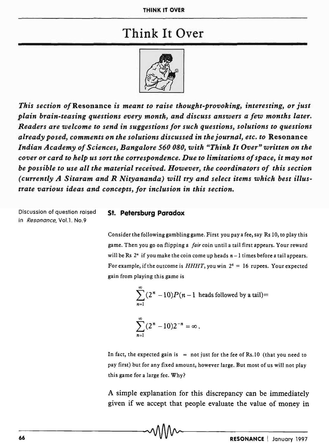## Think It Over



*This section of* Resonance *is meant to raise thought-provoking, interesting, or just plain brain-teasing questions every month, and discuss answers a few months later. Readers are welcome to send in suggestions for such questions, solutions to questions already posed, comments on the solutions discussed in the journal, etc. to* Resonance *Indian Academy of Sciences, Bangalore 560 080, with "Think It Over" written on the cover or card to help us sort the correspondence. Due to limitations of space, it may not be possible to use all the material received. However, the coordinators of this section (currently A Sitaram and R Nityananda) will try and select items which best illustrate various ideas and concepts, for inclusion* in *this section.* 

Discussion of question raised in *Resonance*, Vol.1. No.9

## St. Petersburg Paradox

Consider the following gambling game. First you pay a fee, say Rs 10, to play this game. Then you go on flipping a *fair* coin until a tail first appears. Your reward will be Rs  $2<sup>n</sup>$  if you make the coin come up heads  $n-1$  times before a tail appears. For example, if the outcome is  $HHHT$ , you win  $2^4 = 16$  rupees. Your expected gain from playing this game is

$$
\sum_{n=1}^{\infty} (2^n - 10)P(n-1 \text{ heads followed by a tail}) =
$$
  

$$
\sum_{n=1}^{\infty} (2^n - 10)2^{-n} = \infty.
$$

In fact, the expected gain is  $\infty$  not just for the fee of Rs.10 (that you need to pay first) but for any fixed amount, however large. But most of us will not play this game for a large fee. Why?

A simple explanation for this discrepancy can be immediately given if we accept that people evaluate the value of money in